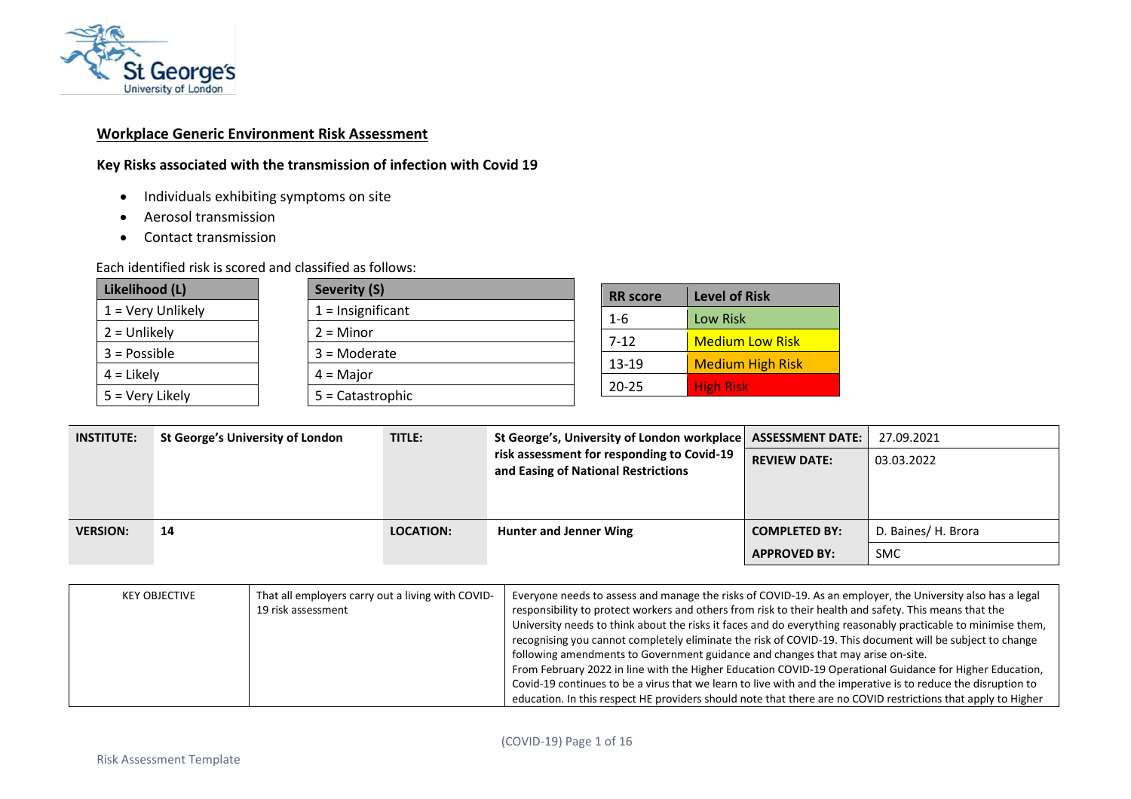

## **Workplace Generic Environment Risk Assessment**

# **Key Risks associated with the transmission of infection with Covid 19**

- Individuals exhibiting symptoms on site
- Aerosol transmission
- Contact transmission

Each identified risk is scored and classified as follows:

| Likelihood (L)    | <b>Severity (S)</b> |
|-------------------|---------------------|
| 1 = Very Unlikely | $1 =$ Insignificant |
| $2 =$ Unlikely    | $2 =$ Minor         |
| $3 = Possible$    | $3 =$ Moderate      |
| $4 =$ Likely      | $4 =$ Major         |
| 5 = Very Likely   | 5 = Catastrophic    |

| <b>RR</b> score | <b>Level of Risk</b>    |
|-----------------|-------------------------|
| $1 - 6$         | Low Risk                |
| $7 - 12$        | <b>Medium Low Risk</b>  |
| 13-19           | <b>Medium High Risk</b> |
| 20-25           | <b>High Risk</b>        |

| <b>INSTITUTE:</b> | St George's University of London | TITLE:           | St George's, University of London workplace   ASSESSMENT DATE:                    |                                             | 27.09.2021                        |
|-------------------|----------------------------------|------------------|-----------------------------------------------------------------------------------|---------------------------------------------|-----------------------------------|
|                   |                                  |                  | risk assessment for responding to Covid-19<br>and Easing of National Restrictions | <b>REVIEW DATE:</b>                         | 03.03.2022                        |
| <b>VERSION:</b>   | 14                               | <b>LOCATION:</b> | Hunter and Jenner Wing                                                            | <b>COMPLETED BY:</b><br><b>APPROVED BY:</b> | D. Baines/ H. Brora<br><b>SMC</b> |

| KEY OBJECTIVE | That all employers carry out a living with COVID-<br>19 risk assessment | Everyone needs to assess and manage the risks of COVID-19. As an employer, the University also has a legal<br>responsibility to protect workers and others from risk to their health and safety. This means that the<br>University needs to think about the risks it faces and do everything reasonably practicable to minimise them,<br>recognising you cannot completely eliminate the risk of COVID-19. This document will be subject to change<br>following amendments to Government guidance and changes that may arise on-site.<br>From February 2022 in line with the Higher Education COVID-19 Operational Guidance for Higher Education,<br>Covid-19 continues to be a virus that we learn to live with and the imperative is to reduce the disruption to<br>education. In this respect HE providers should note that there are no COVID restrictions that apply to Higher |
|---------------|-------------------------------------------------------------------------|-------------------------------------------------------------------------------------------------------------------------------------------------------------------------------------------------------------------------------------------------------------------------------------------------------------------------------------------------------------------------------------------------------------------------------------------------------------------------------------------------------------------------------------------------------------------------------------------------------------------------------------------------------------------------------------------------------------------------------------------------------------------------------------------------------------------------------------------------------------------------------------|
|---------------|-------------------------------------------------------------------------|-------------------------------------------------------------------------------------------------------------------------------------------------------------------------------------------------------------------------------------------------------------------------------------------------------------------------------------------------------------------------------------------------------------------------------------------------------------------------------------------------------------------------------------------------------------------------------------------------------------------------------------------------------------------------------------------------------------------------------------------------------------------------------------------------------------------------------------------------------------------------------------|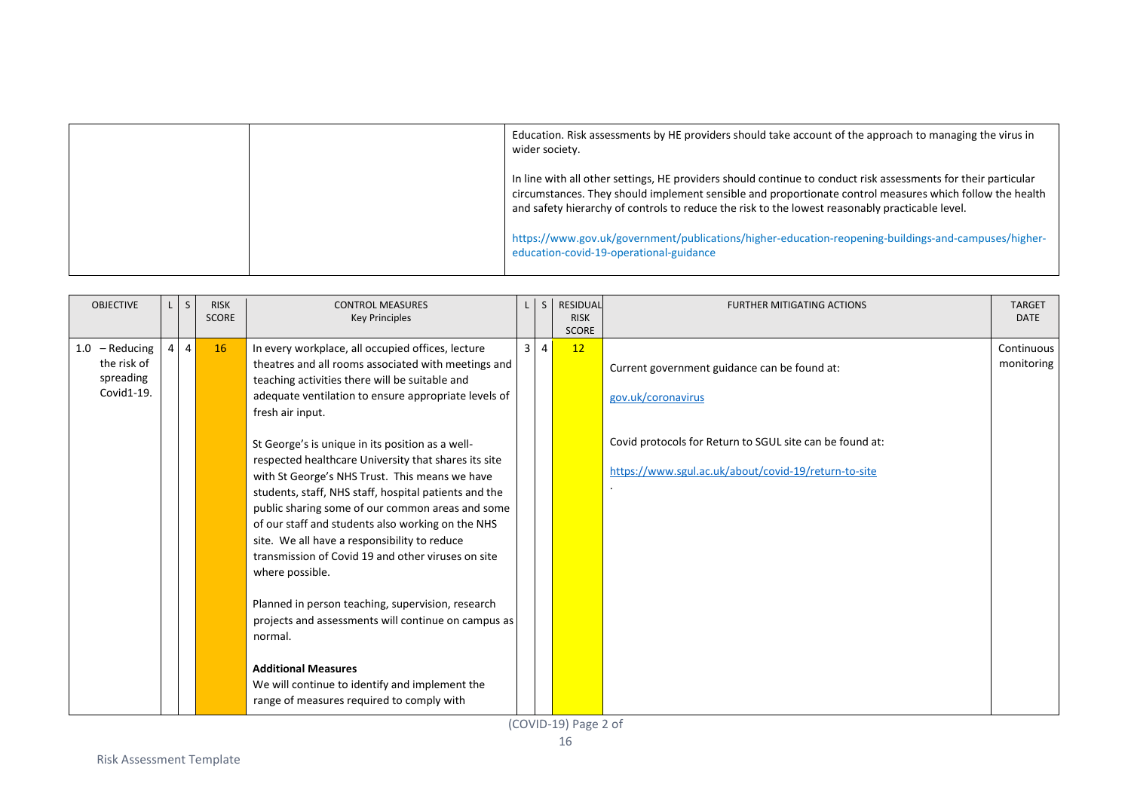|  | Education. Risk assessments by HE providers should take account of the approach to managing the virus in<br>wider society.                                                                                                                                                                                                    |
|--|-------------------------------------------------------------------------------------------------------------------------------------------------------------------------------------------------------------------------------------------------------------------------------------------------------------------------------|
|  | In line with all other settings, HE providers should continue to conduct risk assessments for their particular<br>circumstances. They should implement sensible and proportionate control measures which follow the health<br>and safety hierarchy of controls to reduce the risk to the lowest reasonably practicable level. |
|  | https://www.gov.uk/government/publications/higher-education-reopening-buildings-and-campuses/higher-<br>education-covid-19-operational-guidance                                                                                                                                                                               |

| <b>OBJECTIVE</b>                                           | $\mathsf{L}$ | $\mathsf{S}$    | <b>RISK</b><br><b>SCORE</b> | <b>CONTROL MEASURES</b><br><b>Key Principles</b>                                                                                                                                                                                                                                                                                                                                                                                                      |                | $\mathsf{S}$   | <b>RESIDUAL</b><br><b>RISK</b><br><b>SCORE</b> | <b>FURTHER MITIGATING ACTIONS</b>                                                                                              | <b>TARGET</b><br><b>DATE</b> |
|------------------------------------------------------------|--------------|-----------------|-----------------------------|-------------------------------------------------------------------------------------------------------------------------------------------------------------------------------------------------------------------------------------------------------------------------------------------------------------------------------------------------------------------------------------------------------------------------------------------------------|----------------|----------------|------------------------------------------------|--------------------------------------------------------------------------------------------------------------------------------|------------------------------|
| $1.0 - Reducing$<br>the risk of<br>spreading<br>Covid1-19. |              | $4 \mid 4 \mid$ | 16                          | In every workplace, all occupied offices, lecture<br>theatres and all rooms associated with meetings and<br>teaching activities there will be suitable and<br>adequate ventilation to ensure appropriate levels of<br>fresh air input.                                                                                                                                                                                                                | $\overline{3}$ | $\overline{4}$ | 12                                             | Current government guidance can be found at:<br>gov.uk/coronavirus<br>Covid protocols for Return to SGUL site can be found at: | Continuous<br>monitoring     |
|                                                            |              |                 |                             | St George's is unique in its position as a well-<br>respected healthcare University that shares its site<br>with St George's NHS Trust. This means we have<br>students, staff, NHS staff, hospital patients and the<br>public sharing some of our common areas and some<br>of our staff and students also working on the NHS<br>site. We all have a responsibility to reduce<br>transmission of Covid 19 and other viruses on site<br>where possible. |                |                |                                                | https://www.sgul.ac.uk/about/covid-19/return-to-site                                                                           |                              |
|                                                            |              |                 |                             | Planned in person teaching, supervision, research<br>projects and assessments will continue on campus as<br>normal.<br><b>Additional Measures</b><br>We will continue to identify and implement the                                                                                                                                                                                                                                                   |                |                |                                                |                                                                                                                                |                              |
|                                                            |              |                 |                             | range of measures required to comply with                                                                                                                                                                                                                                                                                                                                                                                                             |                |                |                                                |                                                                                                                                |                              |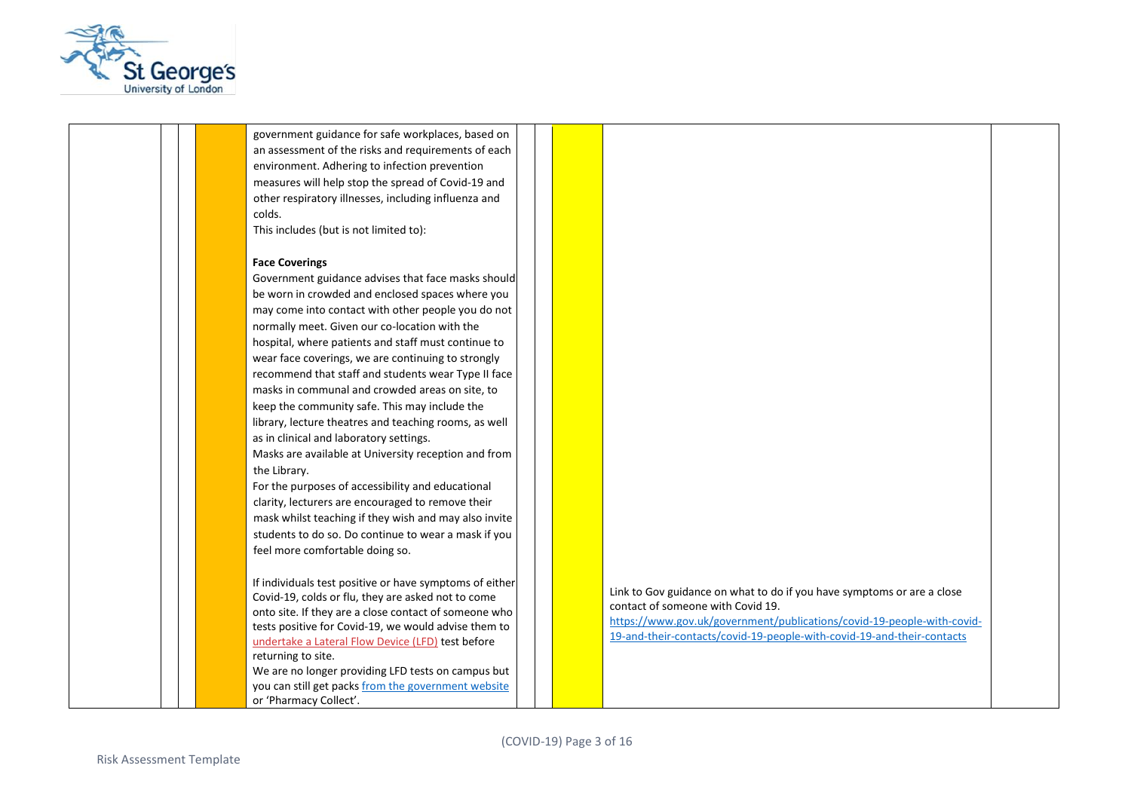

government guidance for safe workplaces, based on an assessment of the risks and requirements of each environment. Adhering to infection prevention measures will help stop the spread of Covid-19 and other respiratory illnesses, including influenza and colds.

This includes (but is not limited to):

#### **Face Coverings**

Government guidance advises that face masks should be worn in crowded and enclosed spaces where you may come into contact with other people you do not normally meet. Given our co-location with the hospital, where patients and staff must continue to wear face coverings, we are continuing to strongly recommend that staff and students wear Type II face masks in communal and crowded areas on site, to keep the community safe. This may include the library, lecture theatres and teaching rooms, as well as in clinical and laboratory settings. Masks are available at University reception and from

the Library.

For the purposes of accessibility and educational clarity, lecturers are encouraged to remove their mask whilst teaching if they wish and may also invite students to do so. Do continue to wear a mask if you feel more comfortable doing so.

If individuals test positive or have symptoms of either Covid-19, colds or flu, they are asked not to come onto site. If they are a close contact of someone who tests positive for Covid-19, we would advise them to undertake a Lateral Flow Device (LFD) test before returning to site.

We are no longer providing LFD tests on campus but you can still get pack[s from the government website](https://www.gov.uk/order-coronavirus-rapid-lateral-flow-tests) or 'Pharmacy Collect'.

Link to Gov guidance on what to do if you have symptoms or are a close contact of someone with Covid 19.

[https://www.gov.uk/government/publications/covid-19-people-with-covid-](https://www.gov.uk/government/publications/covid-19-people-with-covid-19-and-their-contacts/covid-19-people-with-covid-19-and-their-contacts)[19-and-their-contacts/covid-19-people-with-covid-19-and-their-contacts](https://www.gov.uk/government/publications/covid-19-people-with-covid-19-and-their-contacts/covid-19-people-with-covid-19-and-their-contacts)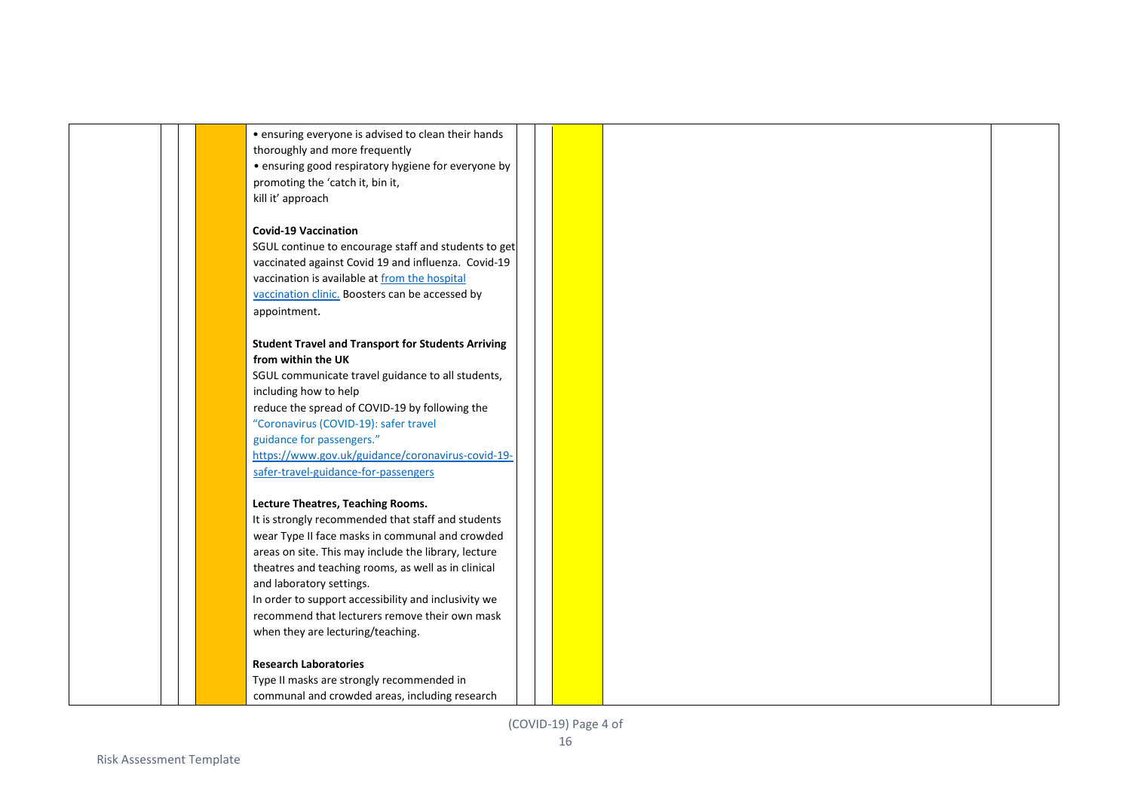• ensuring everyone is advised to clean their hands thoroughly and more frequently • ensuring good respiratory hygiene for everyone by promoting the 'catch it, bin it, kill it' approach

### **Covid-19 Vaccination**

SGUL continue to encourage staff and students to get vaccinated against Covid 19 and influenza. Covid-19 vaccination is available at [from the hospital](https://www.stgeorges.nhs.uk/newsitem/covid-19-vaccination-walk-in-service-for-eligible-patients-at-st-georges-first-dose-only/)  [vaccination clinic.](https://www.stgeorges.nhs.uk/newsitem/covid-19-vaccination-walk-in-service-for-eligible-patients-at-st-georges-first-dose-only/) Boosters can be accessed by appointment.

## **Student Travel and Transport for Students Arriving from within the UK**

SGUL communicate travel guidance to all students, including how to help reduce the spread of COVID-19 by following the "Coronavirus (COVID-19): safer travel guidance for passengers." [https://www.gov.uk/guidance/coronavirus-covid-19](https://www.gov.uk/guidance/coronavirus-covid-19-safer-travel-guidance-for-passengers) [safer-travel-guidance-for-passengers](https://www.gov.uk/guidance/coronavirus-covid-19-safer-travel-guidance-for-passengers)

#### **Lecture Theatres, Teaching Rooms.**

It is strongly recommended that staff and students wear Type II face masks in communal and crowded areas on site. This may include the library, lecture theatres and teaching rooms, as well as in clinical and laboratory settings.

In order to support accessibility and inclusivity we recommend that lecturers remove their own mask when they are lecturing/teaching.

#### **Research Laboratories**

Type II masks are strongly recommended in communal and crowded areas, including research

(COVID-19) Page 4 of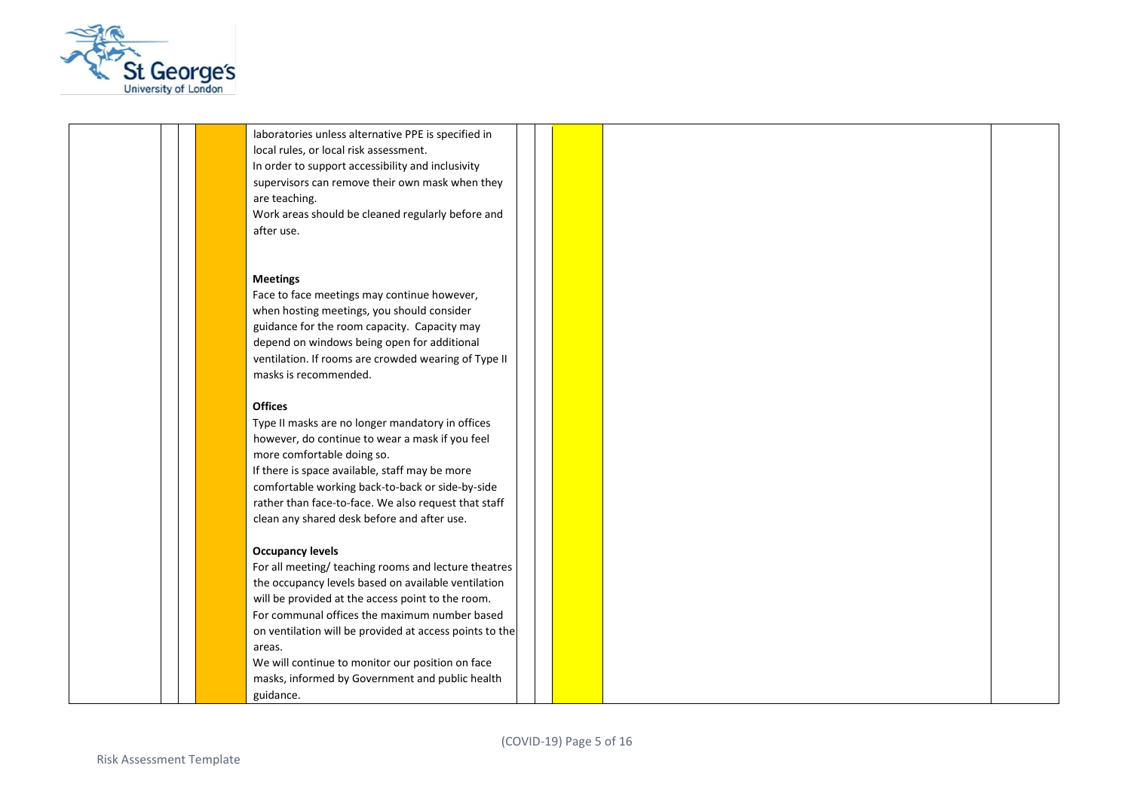

laboratories unless alternative PPE is specified in local rules, or local risk assessment. In order to support accessibility and inclusivity supervisors can remove their own mask when they are teaching. Work areas should be cleaned regularly before and after use.

#### **Meetings**

Face to face meetings may continue however, when hosting meetings, you should consider guidance for the room capacity. Capacity may depend on windows being open for additional ventilation. If rooms are crowded wearing of Type II masks is recommended.

#### **Offices**

Type II masks are no longer mandatory in offices however, do continue to wear a mask if you feel more comfortable doing so.

If there is space available, staff may be more comfortable working back-to-back or side-by-side rather than face-to-face. We also request that staff clean any shared desk before and after use.

#### **Occupancy levels**

For all meeting/ teaching rooms and lecture theatres the occupancy levels based on available ventilation will be provided at the access point to the room. For communal offices the maximum number based on ventilation will be provided at access points to the areas.

We will continue to monitor our position on face masks, informed by Government and public health guidance.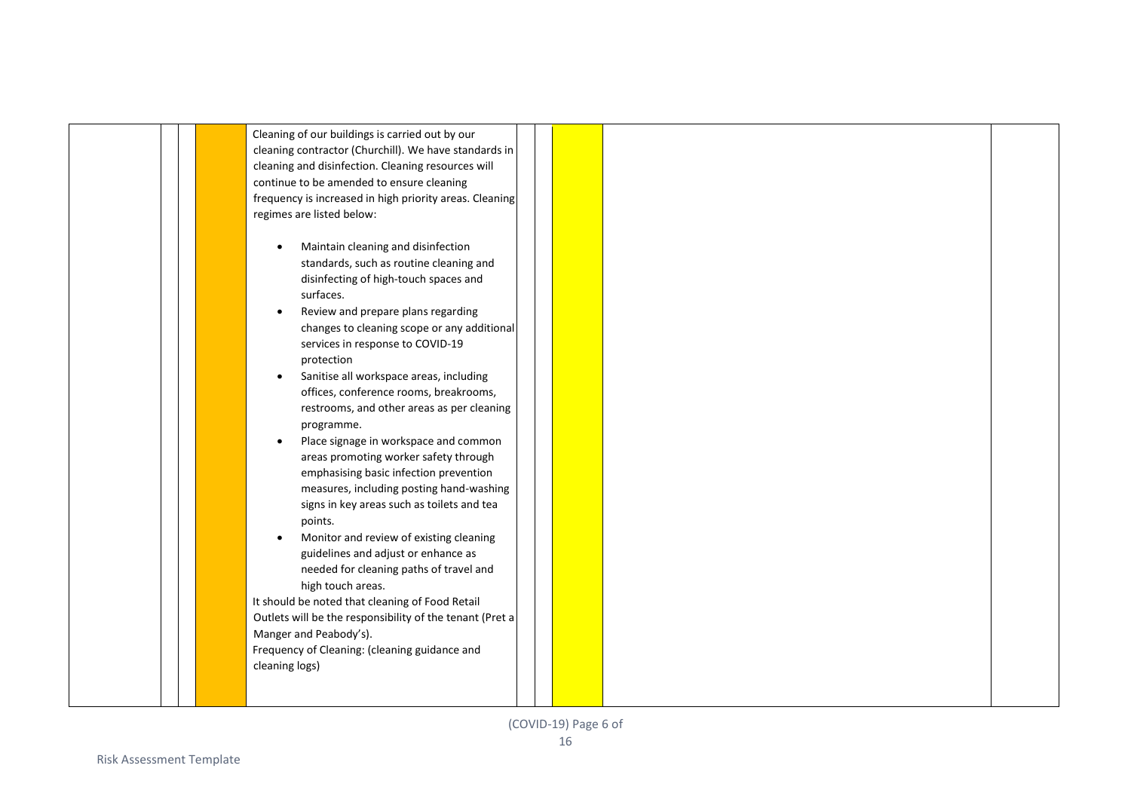|  |  | Cleaning of our buildings is carried out by our<br>cleaning contractor (Churchill). We have standards in<br>cleaning and disinfection. Cleaning resources will<br>continue to be amended to ensure cleaning<br>frequency is increased in high priority areas. Cleaning<br>regimes are listed below:<br>Maintain cleaning and disinfection<br>$\bullet$<br>standards, such as routine cleaning and<br>disinfecting of high-touch spaces and<br>surfaces.<br>Review and prepare plans regarding<br>$\bullet$<br>changes to cleaning scope or any additional<br>services in response to COVID-19<br>protection<br>Sanitise all workspace areas, including<br>$\bullet$<br>offices, conference rooms, breakrooms,<br>restrooms, and other areas as per cleaning<br>programme.<br>Place signage in workspace and common<br>$\bullet$<br>areas promoting worker safety through<br>emphasising basic infection prevention<br>measures, including posting hand-washing<br>signs in key areas such as toilets and tea<br>points.<br>Monitor and review of existing cleaning<br>guidelines and adjust or enhance as<br>needed for cleaning paths of travel and<br>high touch areas.<br>It should be noted that cleaning of Food Retail<br>Outlets will be the responsibility of the tenant (Pret a |  |
|--|--|------------------------------------------------------------------------------------------------------------------------------------------------------------------------------------------------------------------------------------------------------------------------------------------------------------------------------------------------------------------------------------------------------------------------------------------------------------------------------------------------------------------------------------------------------------------------------------------------------------------------------------------------------------------------------------------------------------------------------------------------------------------------------------------------------------------------------------------------------------------------------------------------------------------------------------------------------------------------------------------------------------------------------------------------------------------------------------------------------------------------------------------------------------------------------------------------------------------------------------------------------------------------------------------|--|
|  |  | Manger and Peabody's).<br>Frequency of Cleaning: (cleaning guidance and<br>cleaning logs)                                                                                                                                                                                                                                                                                                                                                                                                                                                                                                                                                                                                                                                                                                                                                                                                                                                                                                                                                                                                                                                                                                                                                                                                |  |
|  |  |                                                                                                                                                                                                                                                                                                                                                                                                                                                                                                                                                                                                                                                                                                                                                                                                                                                                                                                                                                                                                                                                                                                                                                                                                                                                                          |  |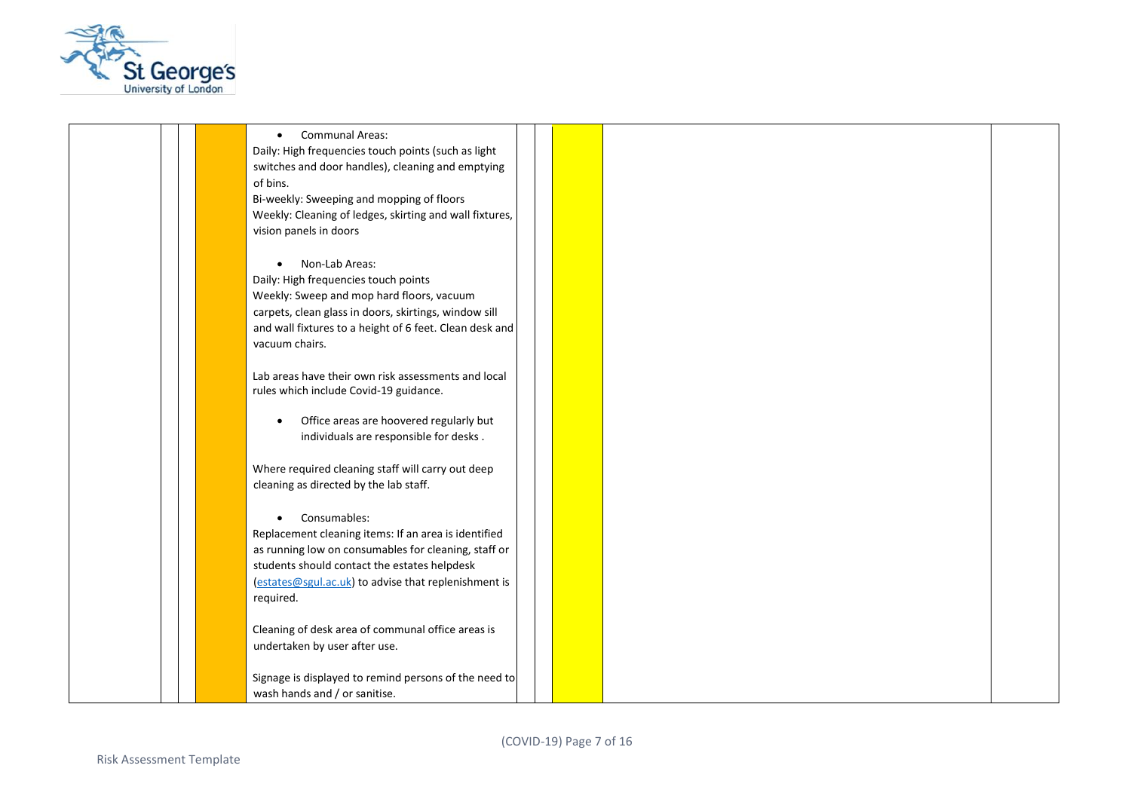

• Communal Areas: Daily: High frequencies touch points (such as light switches and door handles), cleaning and emptying of bins. Bi-weekly: Sweeping and mopping of floors Weekly: Cleaning of ledges, skirting and wall fixtures, vision panels in doors • Non-Lab Areas: Daily: High frequencies touch points Weekly: Sweep and mop hard floors, vacuum carpets, clean glass in doors, skirtings, window sill and wall fixtures to a height of 6 feet. Clean desk and vacuum chairs. Lab areas have their own risk assessments and local rules which include Covid-19 guidance. • Office areas are hoovered regularly but individuals are responsible for desks . Where required cleaning staff will carry out deep cleaning as directed by the lab staff. • Consumables: Replacement cleaning items: If an area is identified as running low on consumables for cleaning, staff or students should contact the estates helpdesk [\(estates@sgul.ac.uk\)](mailto:estates@sgul.ac.uk) to advise that replenishment is required. Cleaning of desk area of communal office areas is undertaken by user after use. Signage is displayed to remind persons of the need to wash hands and / or sanitise.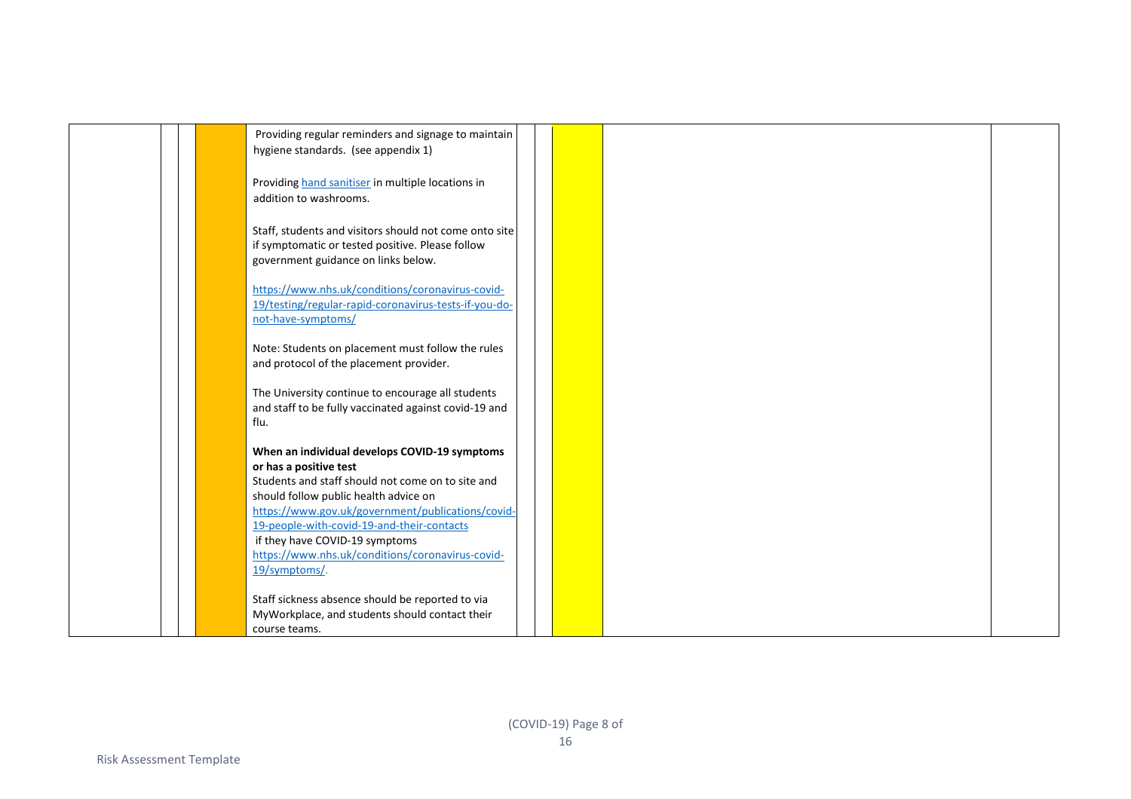| Providing regular reminders and signage to maintain                                                        |  |  |  |
|------------------------------------------------------------------------------------------------------------|--|--|--|
| hygiene standards. (see appendix 1)                                                                        |  |  |  |
|                                                                                                            |  |  |  |
| Providing hand sanitiser in multiple locations in                                                          |  |  |  |
| addition to washrooms.                                                                                     |  |  |  |
| Staff, students and visitors should not come onto site                                                     |  |  |  |
| if symptomatic or tested positive. Please follow                                                           |  |  |  |
| government guidance on links below.                                                                        |  |  |  |
|                                                                                                            |  |  |  |
| https://www.nhs.uk/conditions/coronavirus-covid-                                                           |  |  |  |
| 19/testing/regular-rapid-coronavirus-tests-if-you-do-                                                      |  |  |  |
| not-have-symptoms/                                                                                         |  |  |  |
| Note: Students on placement must follow the rules                                                          |  |  |  |
| and protocol of the placement provider.                                                                    |  |  |  |
|                                                                                                            |  |  |  |
| The University continue to encourage all students<br>and staff to be fully vaccinated against covid-19 and |  |  |  |
| flu.                                                                                                       |  |  |  |
|                                                                                                            |  |  |  |
| When an individual develops COVID-19 symptoms                                                              |  |  |  |
| or has a positive test                                                                                     |  |  |  |
| Students and staff should not come on to site and<br>should follow public health advice on                 |  |  |  |
| https://www.gov.uk/government/publications/covid-                                                          |  |  |  |
| 19-people-with-covid-19-and-their-contacts                                                                 |  |  |  |
| if they have COVID-19 symptoms                                                                             |  |  |  |
| https://www.nhs.uk/conditions/coronavirus-covid-                                                           |  |  |  |
| 19/symptoms/.                                                                                              |  |  |  |
| Staff sickness absence should be reported to via                                                           |  |  |  |
| MyWorkplace, and students should contact their                                                             |  |  |  |
| course teams.                                                                                              |  |  |  |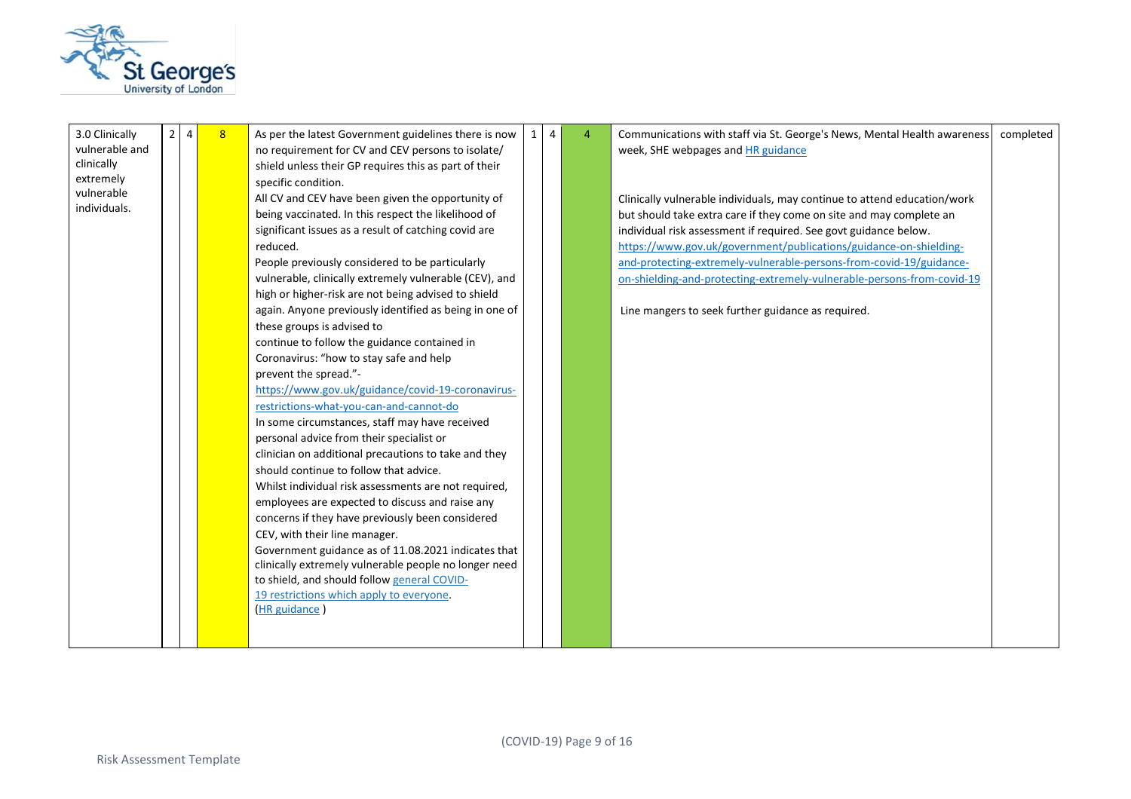

| 3.0 Clinically<br>vulnerable and<br>clinically<br>extremely<br>vulnerable<br>individuals. | 2 <sup>1</sup> | $\overline{4}$ | 8 <sup>°</sup> | As per the latest Government guidelines there is now<br>no requirement for CV and CEV persons to isolate/<br>shield unless their GP requires this as part of their<br>specific condition.<br>All CV and CEV have been given the opportunity of<br>being vaccinated. In this respect the likelihood of<br>significant issues as a result of catching covid are<br>reduced.<br>People previously considered to be particularly<br>vulnerable, clinically extremely vulnerable (CEV), and<br>high or higher-risk are not being advised to shield<br>again. Anyone previously identified as being in one of<br>these groups is advised to<br>continue to follow the guidance contained in<br>Coronavirus: "how to stay safe and help<br>prevent the spread."-<br>https://www.gov.uk/guidance/covid-19-coronavirus-<br>restrictions-what-you-can-and-cannot-do<br>In some circumstances, staff may have received<br>personal advice from their specialist or<br>clinician on additional precautions to take and they<br>should continue to follow that advice.<br>Whilst individual risk assessments are not required,<br>employees are expected to discuss and raise any<br>concerns if they have previously been considered<br>CEV, with their line manager.<br>Government guidance as of 11.08.2021 indicates that<br>clinically extremely vulnerable people no longer need<br>to shield, and should follow general COVID-<br>19 restrictions which apply to everyone.<br>(HR guidance) | $\mathbf{1}$ | 4 | $\overline{4}$ | Communications with staff via St. George's News, Mental Health awareness<br>week, SHE webpages and HR guidance<br>Clinically vulnerable individuals, may continue to attend education/work<br>but should take extra care if they come on site and may complete an<br>individual risk assessment if required. See govt guidance below.<br>https://www.gov.uk/government/publications/guidance-on-shielding-<br>and-protecting-extremely-vulnerable-persons-from-covid-19/guidance-<br>on-shielding-and-protecting-extremely-vulnerable-persons-from-covid-19<br>Line mangers to seek further guidance as required. | completed |
|-------------------------------------------------------------------------------------------|----------------|----------------|----------------|---------------------------------------------------------------------------------------------------------------------------------------------------------------------------------------------------------------------------------------------------------------------------------------------------------------------------------------------------------------------------------------------------------------------------------------------------------------------------------------------------------------------------------------------------------------------------------------------------------------------------------------------------------------------------------------------------------------------------------------------------------------------------------------------------------------------------------------------------------------------------------------------------------------------------------------------------------------------------------------------------------------------------------------------------------------------------------------------------------------------------------------------------------------------------------------------------------------------------------------------------------------------------------------------------------------------------------------------------------------------------------------------------------------------------------------------------------------------------------------|--------------|---|----------------|-------------------------------------------------------------------------------------------------------------------------------------------------------------------------------------------------------------------------------------------------------------------------------------------------------------------------------------------------------------------------------------------------------------------------------------------------------------------------------------------------------------------------------------------------------------------------------------------------------------------|-----------|
|-------------------------------------------------------------------------------------------|----------------|----------------|----------------|---------------------------------------------------------------------------------------------------------------------------------------------------------------------------------------------------------------------------------------------------------------------------------------------------------------------------------------------------------------------------------------------------------------------------------------------------------------------------------------------------------------------------------------------------------------------------------------------------------------------------------------------------------------------------------------------------------------------------------------------------------------------------------------------------------------------------------------------------------------------------------------------------------------------------------------------------------------------------------------------------------------------------------------------------------------------------------------------------------------------------------------------------------------------------------------------------------------------------------------------------------------------------------------------------------------------------------------------------------------------------------------------------------------------------------------------------------------------------------------|--------------|---|----------------|-------------------------------------------------------------------------------------------------------------------------------------------------------------------------------------------------------------------------------------------------------------------------------------------------------------------------------------------------------------------------------------------------------------------------------------------------------------------------------------------------------------------------------------------------------------------------------------------------------------------|-----------|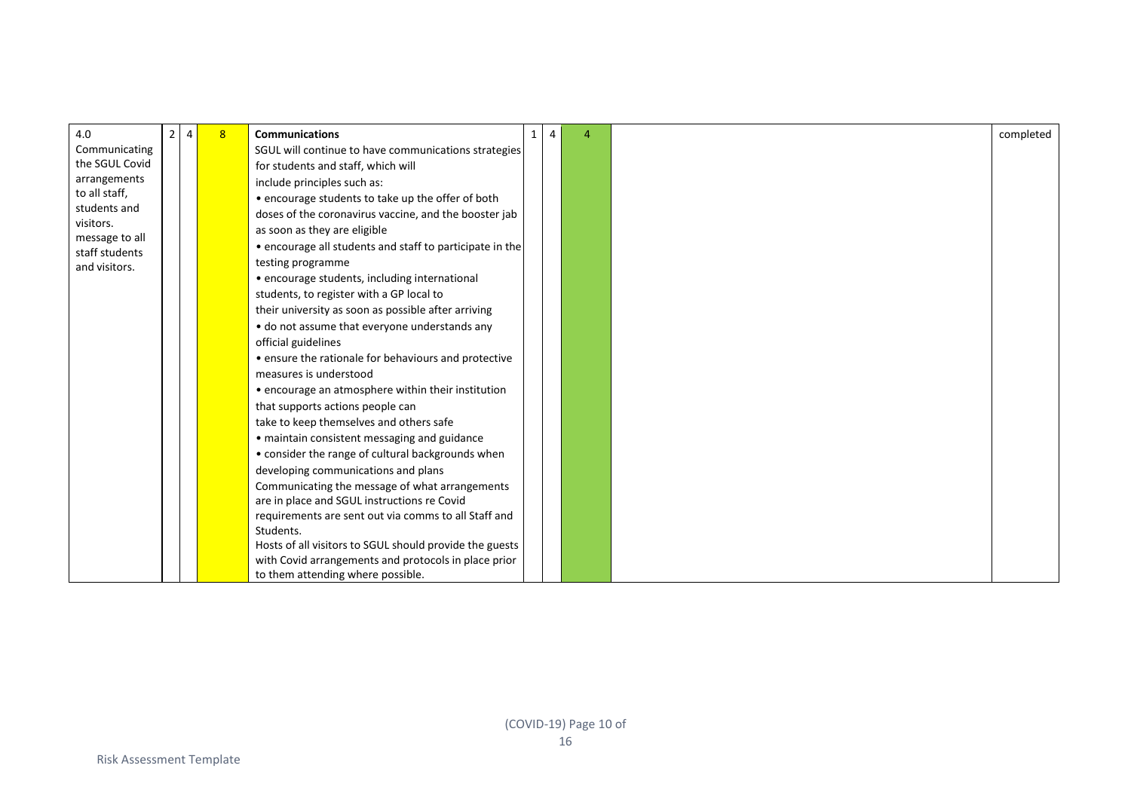| 4.0                              | 2 <sup>1</sup> | $\overline{4}$ | 8 <sup>2</sup> | <b>Communications</b>                                    | $\mathbf{1}$ | $\overline{4}$ | $\Delta$ | completed |
|----------------------------------|----------------|----------------|----------------|----------------------------------------------------------|--------------|----------------|----------|-----------|
| Communicating                    |                |                |                | SGUL will continue to have communications strategies     |              |                |          |           |
| the SGUL Covid                   |                |                |                | for students and staff, which will                       |              |                |          |           |
| arrangements                     |                |                |                | include principles such as:                              |              |                |          |           |
| to all staff,                    |                |                |                | • encourage students to take up the offer of both        |              |                |          |           |
| students and                     |                |                |                | doses of the coronavirus vaccine, and the booster jab    |              |                |          |           |
| visitors.                        |                |                |                | as soon as they are eligible                             |              |                |          |           |
| message to all<br>staff students |                |                |                | • encourage all students and staff to participate in the |              |                |          |           |
| and visitors.                    |                |                |                | testing programme                                        |              |                |          |           |
|                                  |                |                |                | · encourage students, including international            |              |                |          |           |
|                                  |                |                |                | students, to register with a GP local to                 |              |                |          |           |
|                                  |                |                |                | their university as soon as possible after arriving      |              |                |          |           |
|                                  |                |                |                | • do not assume that everyone understands any            |              |                |          |           |
|                                  |                |                |                | official guidelines                                      |              |                |          |           |
|                                  |                |                |                | • ensure the rationale for behaviours and protective     |              |                |          |           |
|                                  |                |                |                | measures is understood                                   |              |                |          |           |
|                                  |                |                |                | • encourage an atmosphere within their institution       |              |                |          |           |
|                                  |                |                |                | that supports actions people can                         |              |                |          |           |
|                                  |                |                |                | take to keep themselves and others safe                  |              |                |          |           |
|                                  |                |                |                | • maintain consistent messaging and guidance             |              |                |          |           |
|                                  |                |                |                | • consider the range of cultural backgrounds when        |              |                |          |           |
|                                  |                |                |                | developing communications and plans                      |              |                |          |           |
|                                  |                |                |                | Communicating the message of what arrangements           |              |                |          |           |
|                                  |                |                |                | are in place and SGUL instructions re Covid              |              |                |          |           |
|                                  |                |                |                | requirements are sent out via comms to all Staff and     |              |                |          |           |
|                                  |                |                |                | Students.                                                |              |                |          |           |
|                                  |                |                |                | Hosts of all visitors to SGUL should provide the guests  |              |                |          |           |
|                                  |                |                |                | with Covid arrangements and protocols in place prior     |              |                |          |           |
|                                  |                |                |                | to them attending where possible.                        |              |                |          |           |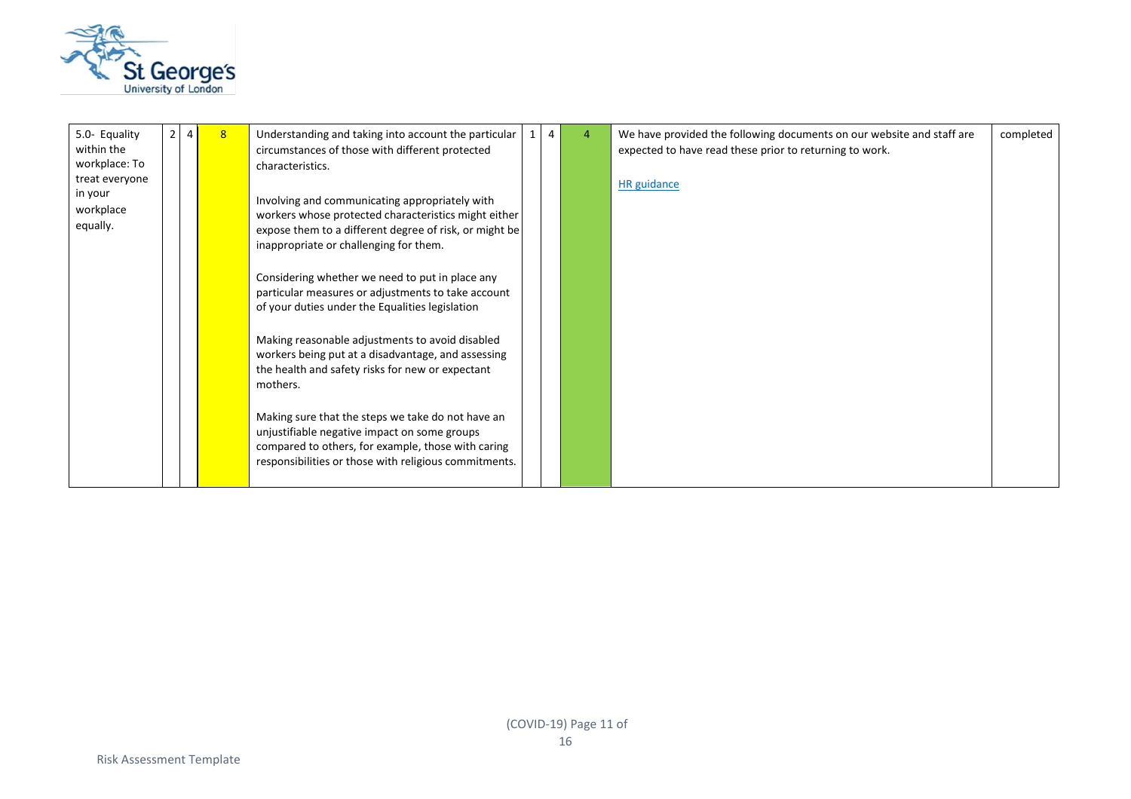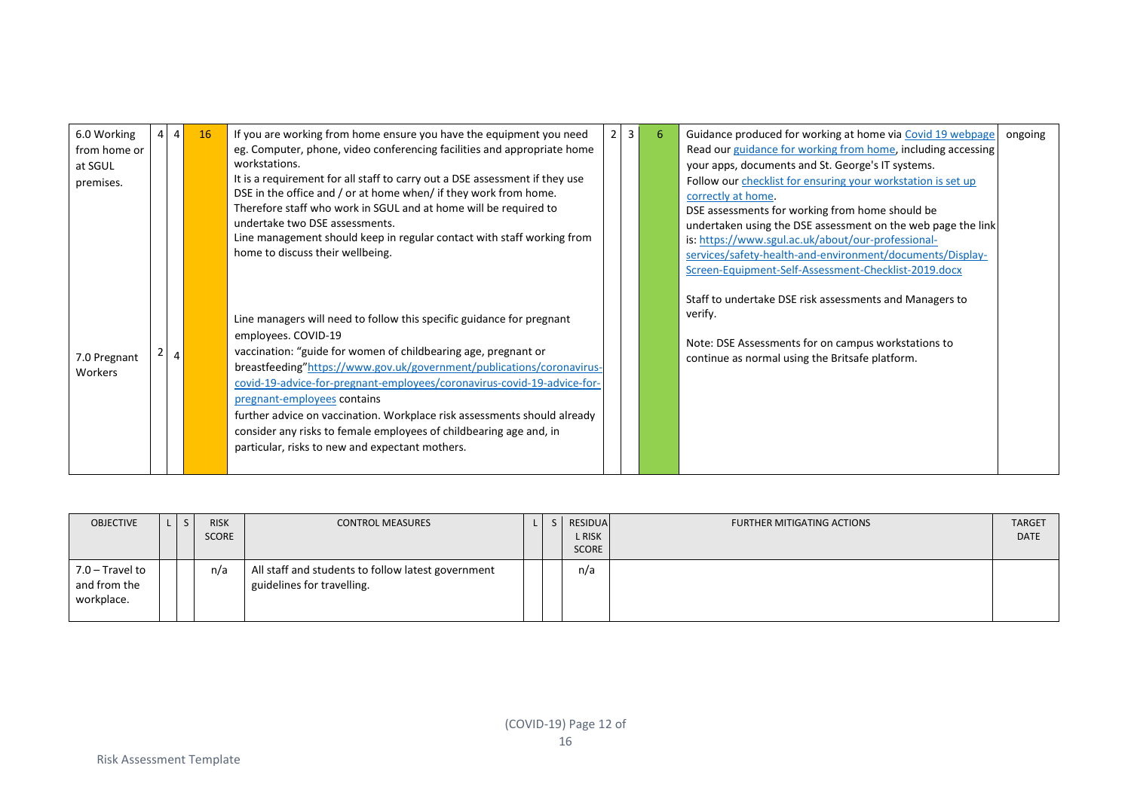| 6.0 Working  | $\overline{4}$ | <b>16</b> | If you are working from home ensure you have the equipment you need         | 2 <sup>1</sup> | $\overline{3}$ | 6 | Guidance produced for working at home via Covid 19 webpage   | ongoing |
|--------------|----------------|-----------|-----------------------------------------------------------------------------|----------------|----------------|---|--------------------------------------------------------------|---------|
| from home or |                |           | eg. Computer, phone, video conferencing facilities and appropriate home     |                |                |   | Read our guidance for working from home, including accessing |         |
| at SGUL      |                |           | workstations.                                                               |                |                |   | your apps, documents and St. George's IT systems.            |         |
| premises.    |                |           | It is a requirement for all staff to carry out a DSE assessment if they use |                |                |   | Follow our checklist for ensuring your workstation is set up |         |
|              |                |           | DSE in the office and / or at home when/ if they work from home.            |                |                |   | correctly at home.                                           |         |
|              |                |           | Therefore staff who work in SGUL and at home will be required to            |                |                |   | DSE assessments for working from home should be              |         |
|              |                |           | undertake two DSE assessments.                                              |                |                |   | undertaken using the DSE assessment on the web page the link |         |
|              |                |           | Line management should keep in regular contact with staff working from      |                |                |   | is: https://www.sgul.ac.uk/about/our-professional-           |         |
|              |                |           | home to discuss their wellbeing.                                            |                |                |   | services/safety-health-and-environment/documents/Display-    |         |
|              |                |           |                                                                             |                |                |   | Screen-Equipment-Self-Assessment-Checklist-2019.docx         |         |
|              |                |           |                                                                             |                |                |   |                                                              |         |
|              |                |           |                                                                             |                |                |   | Staff to undertake DSE risk assessments and Managers to      |         |
|              |                |           | Line managers will need to follow this specific guidance for pregnant       |                |                |   | verify.                                                      |         |
|              |                |           |                                                                             |                |                |   |                                                              |         |
|              |                |           | employees. COVID-19                                                         |                |                |   | Note: DSE Assessments for on campus workstations to          |         |
| 7.0 Pregnant | $\overline{4}$ |           | vaccination: "guide for women of childbearing age, pregnant or              |                |                |   | continue as normal using the Britsafe platform.              |         |
| Workers      |                |           | breastfeeding"https://www.gov.uk/government/publications/coronavirus-       |                |                |   |                                                              |         |
|              |                |           | covid-19-advice-for-pregnant-employees/coronavirus-covid-19-advice-for-     |                |                |   |                                                              |         |
|              |                |           | pregnant-employees contains                                                 |                |                |   |                                                              |         |
|              |                |           | further advice on vaccination. Workplace risk assessments should already    |                |                |   |                                                              |         |
|              |                |           | consider any risks to female employees of childbearing age and, in          |                |                |   |                                                              |         |
|              |                |           | particular, risks to new and expectant mothers.                             |                |                |   |                                                              |         |
|              |                |           |                                                                             |                |                |   |                                                              |         |
|              |                |           |                                                                             |                |                |   |                                                              |         |

| <b>OBJECTIVE</b>                              |  | <b>RISK</b><br>SCORE | <b>CONTROL MEASURES</b>                                                          |  | RESIDUAL<br>L RISK<br><b>SCORE</b> | <b>FURTHER MITIGATING ACTIONS</b> | <b>TARGET</b><br><b>DATE</b> |
|-----------------------------------------------|--|----------------------|----------------------------------------------------------------------------------|--|------------------------------------|-----------------------------------|------------------------------|
| 7.0 – Travel to<br>and from the<br>workplace. |  | n/a                  | All staff and students to follow latest government<br>guidelines for travelling. |  | n/a                                |                                   |                              |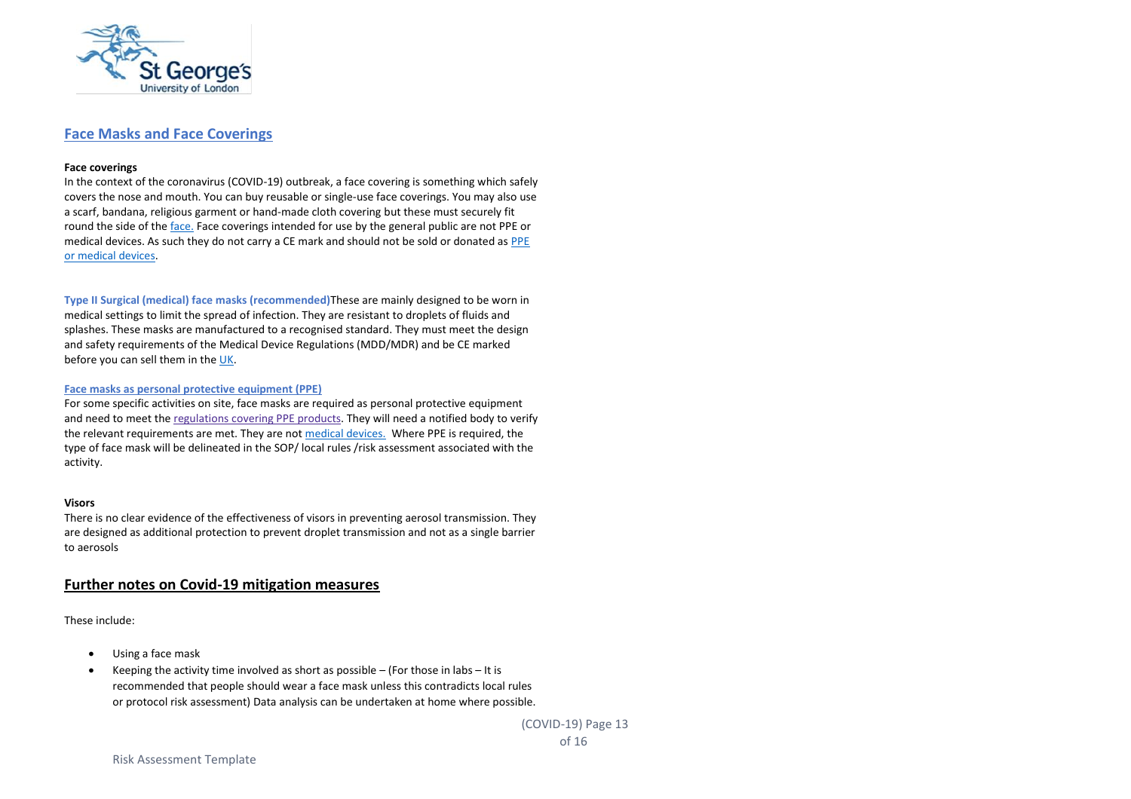

## **Face Masks and Face Coverings**

#### **Face coverings**

In the context of the coronavirus (COVID-19) outbreak, a face covering is something which safely covers the nose and mouth. You can buy reusable or single-use face coverings. You may also use a scarf, bandana, religious garment or hand-made cloth covering but these must securely fit round the side of the [face.](https://www.gov.uk/government/publications/face-coverings-when-to-wear-one-and-how-to-make-your-own/face-coverings-when-to-wear-one-and-how-to-make-your-own) Face coverings intended for use by the general public are not PPE or medical devices. As such they do not carry a CE mark and should not be sold or donated a[s PPE](https://www.gov.uk/guidance/regulatory-status-of-equipment-being-used-to-help-prevent-coronavirus-covid-19?utm_source=Gov&utm_medium=Email&utm_campaign=MHRA_COVID-19_updates&utm_content=HCP7#face-masks-and-face-coverings)  [or medical devices.](https://www.gov.uk/guidance/regulatory-status-of-equipment-being-used-to-help-prevent-coronavirus-covid-19?utm_source=Gov&utm_medium=Email&utm_campaign=MHRA_COVID-19_updates&utm_content=HCP7#face-masks-and-face-coverings)

**Type II Surgical (medical) face masks (recommended)**These are mainly designed to be worn in medical settings to limit the spread of infection. They are resistant to droplets of fluids and splashes. These masks are manufactured to a recognised standard. They must meet the design and safety requirements of the Medical Device Regulations (MDD/MDR) and be CE marked before you can sell them in th[e UK.](https://www.gov.uk/guidance/regulatory-status-of-equipment-being-used-to-help-prevent-coronavirus-covid-19?utm_source=Gov&utm_medium=Email&utm_campaign=MHRA_COVID-19_updates&utm_content=HCP7#face-masks-and-face-coverings)

#### **Face masks as personal protective equipment (PPE)**

For some specific activities on site, face masks are required as personal protective equipment and need to meet the [regulations](https://ec.europa.eu/growth/sectors/mechanical-engineering/personal-protective-equipment_en) covering PPE products. They will need a notified body to verify the relevant requirements are met. They are no[t medical devices.](https://www.gov.uk/guidance/regulatory-status-of-equipment-being-used-to-help-prevent-coronavirus-covid-19?utm_source=Gov&utm_medium=Email&utm_campaign=MHRA_COVID-19_updates&utm_content=HCP7#face-masks-and-face-coverings) Where PPE is required, the type of face mask will be delineated in the SOP/ local rules /risk assessment associated with the activity.

#### **Visors**

There is no clear evidence of the effectiveness of visors in preventing aerosol transmission. They are designed as additional protection to prevent droplet transmission and not as a single barrier to aerosols

## **Further notes on Covid-19 mitigation measures**

These include:

- Using a face mask
- Keeping the activity time involved as short as possible (For those in labs It is recommended that people should wear a face mask unless this contradicts local rules or protocol risk assessment) Data analysis can be undertaken at home where possible.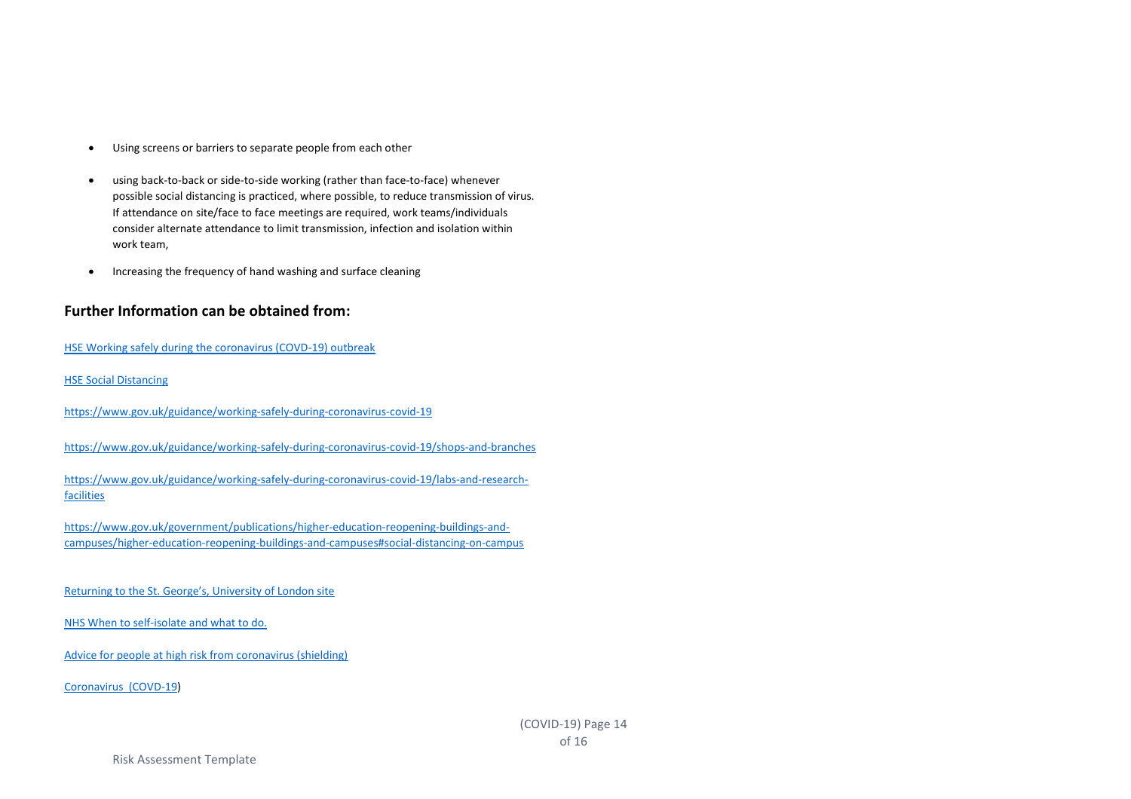- Using screens or barriers to separate people from each other
- using back-to-back or side-to-side working (rather than face-to-face) whenever possible social distancing is practiced, where possible, to reduce transmission of virus. If attendance on site/face to face meetings are required, work teams/individuals consider alternate attendance to limit transmission, infection and isolation within work team,
- Increasing the frequency of hand washing and surface cleaning

## **Further Information can be obtained from:**

[HSE Working safely during the coronavirus \(COVD-19\) outbreak](https://www.hse.gov.uk/coronavirus/working-safely/index.htm?utm_source=hse.gov.uk&utm_medium=refferal&utm_campaign=coronavirus&utm_term=working-safely&utm_content=home-page-popular)

[HSE Social Distancing](https://www.hse.gov.uk/coronavirus/social-distancing/index.htm)

<https://www.gov.uk/guidance/working-safely-during-coronavirus-covid-19>

<https://www.gov.uk/guidance/working-safely-during-coronavirus-covid-19/shops-and-branches>

[https://www.gov.uk/guidance/working-safely-during-coronavirus-covid-19/labs-and-research](https://www.gov.uk/guidance/working-safely-during-coronavirus-covid-19/labs-and-research-facilities)[facilities](https://www.gov.uk/guidance/working-safely-during-coronavirus-covid-19/labs-and-research-facilities)

[https://www.gov.uk/government/publications/higher-education-reopening-buildings-and](https://www.gov.uk/government/publications/higher-education-reopening-buildings-and-campuses/higher-education-reopening-buildings-and-campuses#social-distancing-on-campus)[campuses/higher-education-reopening-buildings-and-campuses#social-distancing-on-campus](https://www.gov.uk/government/publications/higher-education-reopening-buildings-and-campuses/higher-education-reopening-buildings-and-campuses#social-distancing-on-campus)

[Returning to the St. George's, University of London site](https://www.sgul.ac.uk/news/alerts/return-to-site)

[NHS When to self-isolate and what to do.](https://www.nhs.uk/conditions/coronavirus-covid-19/self-isolation-and-treatment/when-to-self-isolate-and-what-to-do/)

[Advice for people at high risk from coronavirus \(shielding\)](https://www.nhs.uk/conditions/coronavirus-covid-19/people-at-higher-risk/advice-for-people-at-high-risk/)

[Coronavirus \(COVD-19\)](https://www.gov.uk/coronavirus)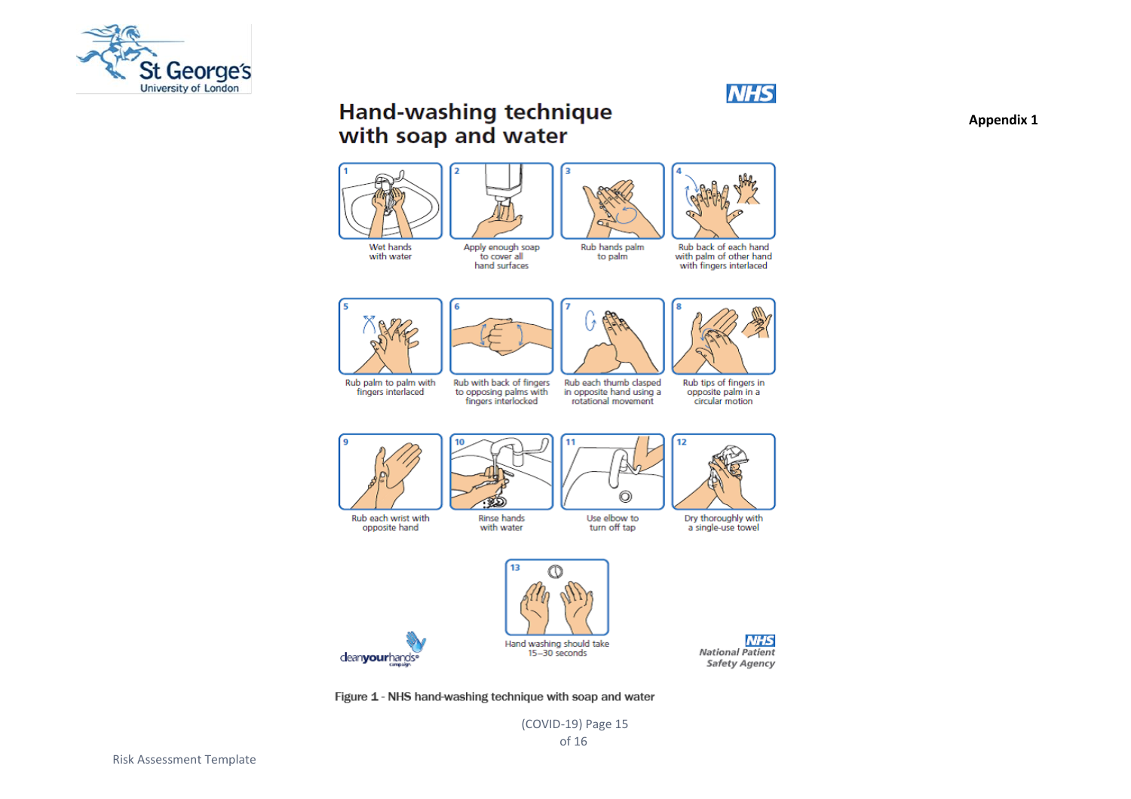



# **Hand-washing technique** with soap and water





Rub back of each hand with palm of other hand with fingers interlaced



fingers interlaced

Rub each wrist with

opposite hand



hand surfaces

to opposing palms with<br>fingers interlocked

Rinse hands

with water



Rub each thumb clasped in opposite hand using a rotational movement

Rub tips of fingers in opposite palm in a circular motion



Use elbow to

turn off tap

to palm



Dry thoroughly with a single-use towel





Figure 1 - NHS hand-washing technique with soap and water

(COVID-19) Page 15

Risk Assessment Template

**Appendix 1**